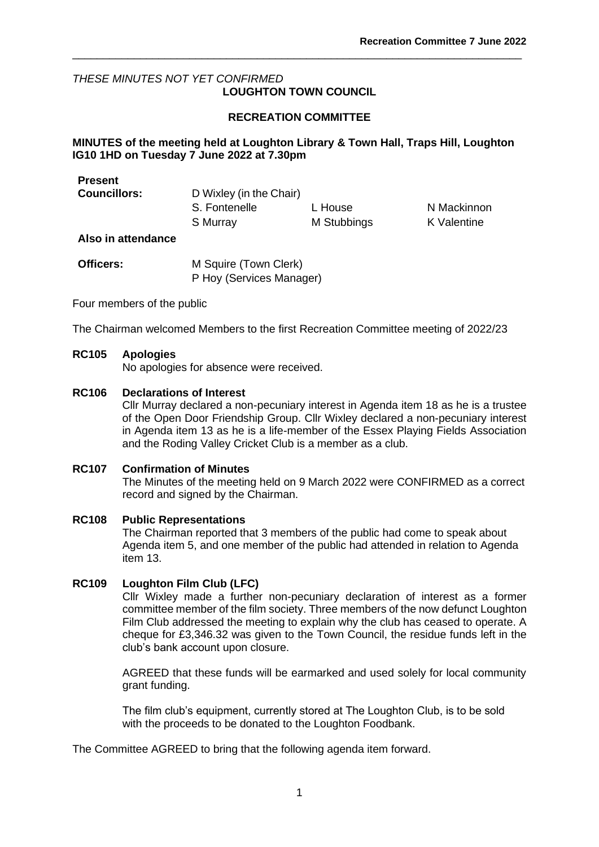### *THESE MINUTES NOT YET CONFIRMED* **LOUGHTON TOWN COUNCIL**

# **RECREATION COMMITTEE**

\_\_\_\_\_\_\_\_\_\_\_\_\_\_\_\_\_\_\_\_\_\_\_\_\_\_\_\_\_\_\_\_\_\_\_\_\_\_\_\_\_\_\_\_\_\_\_\_\_\_\_\_\_\_\_\_\_\_\_\_\_\_\_\_\_\_\_\_\_\_\_\_\_

# **MINUTES of the meeting held at Loughton Library & Town Hall, Traps Hill, Loughton IG10 1HD on Tuesday 7 June 2022 at 7.30pm**

| Present             |                         |             |             |
|---------------------|-------------------------|-------------|-------------|
| <b>Councillors:</b> | D Wixley (in the Chair) |             |             |
|                     | S. Fontenelle           | L House     | N Mackinnon |
|                     | S Murray                | M Stubbings | K Valentine |

### **Also in attendance**

| <b>Officers:</b> | M Squire (Town Clerk)    |
|------------------|--------------------------|
|                  | P Hoy (Services Manager) |

Four members of the public

The Chairman welcomed Members to the first Recreation Committee meeting of 2022/23

# **RC105 Apologies**

No apologies for absence were received.

### **RC106 Declarations of Interest**

Cllr Murray declared a non-pecuniary interest in Agenda item 18 as he is a trustee of the Open Door Friendship Group. Cllr Wixley declared a non-pecuniary interest in Agenda item 13 as he is a life-member of the Essex Playing Fields Association and the Roding Valley Cricket Club is a member as a club.

### **RC107 Confirmation of Minutes**

The Minutes of the meeting held on 9 March 2022 were CONFIRMED as a correct record and signed by the Chairman.

### **RC108 Public Representations**

The Chairman reported that 3 members of the public had come to speak about Agenda item 5, and one member of the public had attended in relation to Agenda item 13.

### **RC109 Loughton Film Club (LFC)**

Cllr Wixley made a further non-pecuniary declaration of interest as a former committee member of the film society. Three members of the now defunct Loughton Film Club addressed the meeting to explain why the club has ceased to operate. A cheque for £3,346.32 was given to the Town Council, the residue funds left in the club's bank account upon closure.

AGREED that these funds will be earmarked and used solely for local community grant funding.

The film club's equipment, currently stored at The Loughton Club, is to be sold with the proceeds to be donated to the Loughton Foodbank.

The Committee AGREED to bring that the following agenda item forward.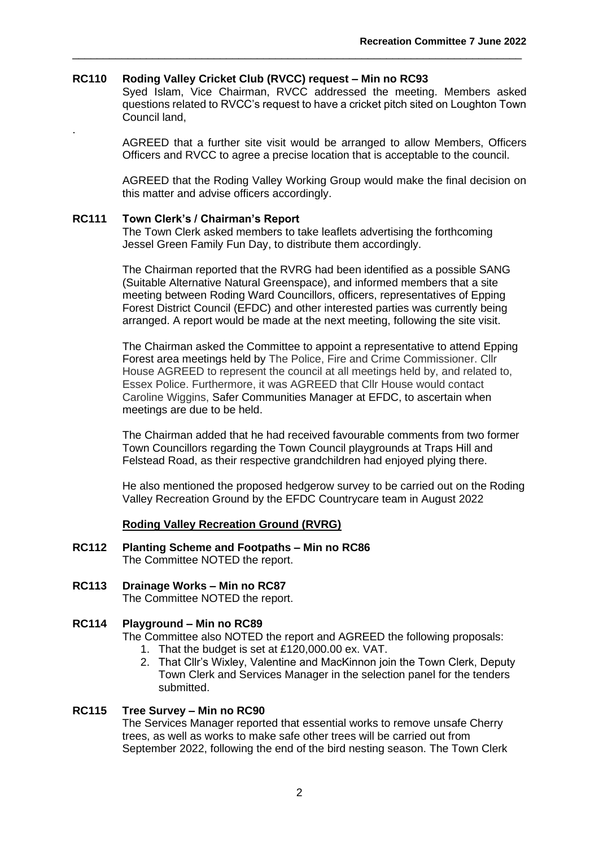### **RC110 Roding Valley Cricket Club (RVCC) request – Min no RC93**

Syed Islam, Vice Chairman, RVCC addressed the meeting. Members asked questions related to RVCC's request to have a cricket pitch sited on Loughton Town Council land,

\_\_\_\_\_\_\_\_\_\_\_\_\_\_\_\_\_\_\_\_\_\_\_\_\_\_\_\_\_\_\_\_\_\_\_\_\_\_\_\_\_\_\_\_\_\_\_\_\_\_\_\_\_\_\_\_\_\_\_\_\_\_\_\_\_\_\_\_\_\_\_\_\_

AGREED that a further site visit would be arranged to allow Members, Officers Officers and RVCC to agree a precise location that is acceptable to the council.

AGREED that the Roding Valley Working Group would make the final decision on this matter and advise officers accordingly.

#### **RC111 Town Clerk's / Chairman's Report**

.

The Town Clerk asked members to take leaflets advertising the forthcoming Jessel Green Family Fun Day, to distribute them accordingly.

The Chairman reported that the RVRG had been identified as a possible SANG (Suitable Alternative Natural Greenspace), and informed members that a site meeting between Roding Ward Councillors, officers, representatives of Epping Forest District Council (EFDC) and other interested parties was currently being arranged. A report would be made at the next meeting, following the site visit.

The Chairman asked the Committee to appoint a representative to attend Epping Forest area meetings held by The Police, Fire and Crime Commissioner. Cllr House AGREED to represent the council at all meetings held by, and related to, Essex Police. Furthermore, it was AGREED that Cllr House would contact Caroline Wiggins, Safer Communities Manager at EFDC, to ascertain when meetings are due to be held.

The Chairman added that he had received favourable comments from two former Town Councillors regarding the Town Council playgrounds at Traps Hill and Felstead Road, as their respective grandchildren had enjoyed plying there.

He also mentioned the proposed hedgerow survey to be carried out on the Roding Valley Recreation Ground by the EFDC Countrycare team in August 2022

### **Roding Valley Recreation Ground (RVRG)**

- **RC112 Planting Scheme and Footpaths – Min no RC86** The Committee NOTED the report.
- **RC113 Drainage Works – Min no RC87** The Committee NOTED the report.

### **RC114 Playground – Min no RC89**

The Committee also NOTED the report and AGREED the following proposals:

- 1. That the budget is set at £120,000.00 ex. VAT.
- 2. That Cllr's Wixley, Valentine and MacKinnon join the Town Clerk, Deputy Town Clerk and Services Manager in the selection panel for the tenders submitted.

# **RC115 Tree Survey – Min no RC90**

The Services Manager reported that essential works to remove unsafe Cherry trees, as well as works to make safe other trees will be carried out from September 2022, following the end of the bird nesting season. The Town Clerk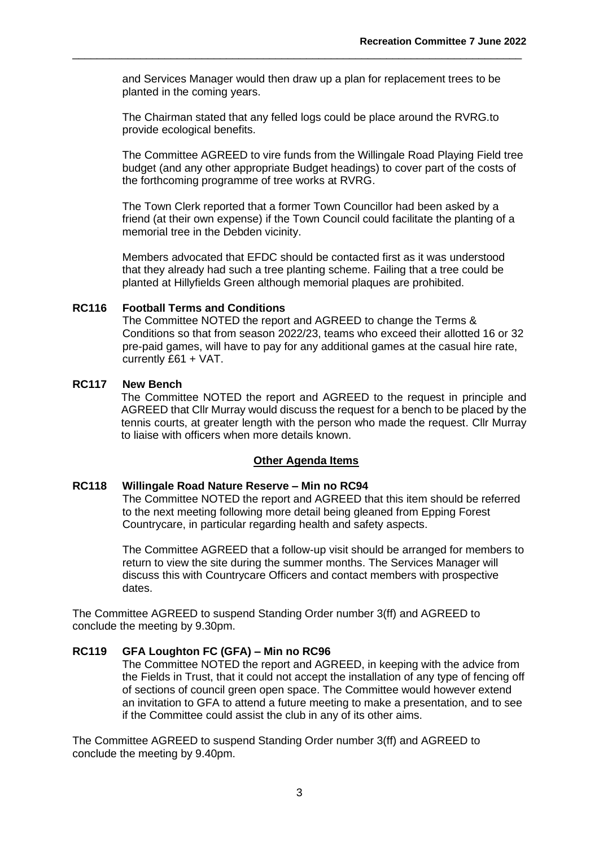and Services Manager would then draw up a plan for replacement trees to be planted in the coming years.

\_\_\_\_\_\_\_\_\_\_\_\_\_\_\_\_\_\_\_\_\_\_\_\_\_\_\_\_\_\_\_\_\_\_\_\_\_\_\_\_\_\_\_\_\_\_\_\_\_\_\_\_\_\_\_\_\_\_\_\_\_\_\_\_\_\_\_\_\_\_\_\_\_

The Chairman stated that any felled logs could be place around the RVRG.to provide ecological benefits.

The Committee AGREED to vire funds from the Willingale Road Playing Field tree budget (and any other appropriate Budget headings) to cover part of the costs of the forthcoming programme of tree works at RVRG.

The Town Clerk reported that a former Town Councillor had been asked by a friend (at their own expense) if the Town Council could facilitate the planting of a memorial tree in the Debden vicinity.

Members advocated that EFDC should be contacted first as it was understood that they already had such a tree planting scheme. Failing that a tree could be planted at Hillyfields Green although memorial plaques are prohibited.

#### **RC116 Football Terms and Conditions**

The Committee NOTED the report and AGREED to change the Terms & Conditions so that from season 2022/23, teams who exceed their allotted 16 or 32 pre-paid games, will have to pay for any additional games at the casual hire rate, currently £61 + VAT.

### **RC117 New Bench**

The Committee NOTED the report and AGREED to the request in principle and AGREED that Cllr Murray would discuss the request for a bench to be placed by the tennis courts, at greater length with the person who made the request. Cllr Murray to liaise with officers when more details known.

#### **Other Agenda Items**

### **RC118 Willingale Road Nature Reserve – Min no RC94**

The Committee NOTED the report and AGREED that this item should be referred to the next meeting following more detail being gleaned from Epping Forest Countrycare, in particular regarding health and safety aspects.

The Committee AGREED that a follow-up visit should be arranged for members to return to view the site during the summer months. The Services Manager will discuss this with Countrycare Officers and contact members with prospective dates.

The Committee AGREED to suspend Standing Order number 3(ff) and AGREED to conclude the meeting by 9.30pm.

### **RC119 GFA Loughton FC (GFA) – Min no RC96**

The Committee NOTED the report and AGREED, in keeping with the advice from the Fields in Trust, that it could not accept the installation of any type of fencing off of sections of council green open space. The Committee would however extend an invitation to GFA to attend a future meeting to make a presentation, and to see if the Committee could assist the club in any of its other aims.

The Committee AGREED to suspend Standing Order number 3(ff) and AGREED to conclude the meeting by 9.40pm.